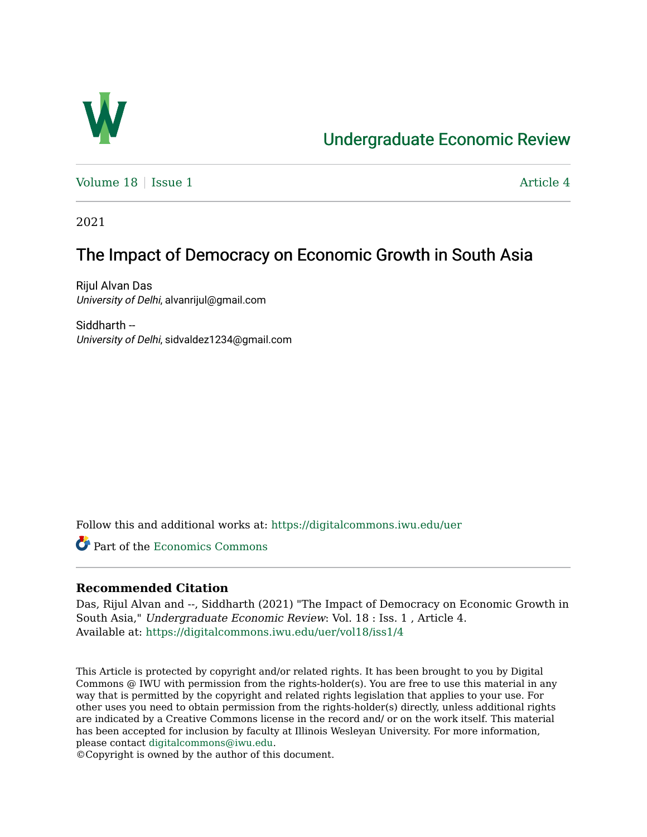

# [Undergraduate Economic Review](https://digitalcommons.iwu.edu/uer)

Volume  $18 \mid$  [Issue 1](https://digitalcommons.iwu.edu/uer/vol18/iss1)  $\blacksquare$ 

2021

# The Impact of Democracy on Economic Growth in South Asia

Rijul Alvan Das University of Delhi, alvanrijul@gmail.com

Siddharth -- University of Delhi, sidvaldez1234@gmail.com

Follow this and additional works at: [https://digitalcommons.iwu.edu/uer](https://digitalcommons.iwu.edu/uer?utm_source=digitalcommons.iwu.edu%2Fuer%2Fvol18%2Fiss1%2F4&utm_medium=PDF&utm_campaign=PDFCoverPages)

Part of the [Economics Commons](http://network.bepress.com/hgg/discipline/340?utm_source=digitalcommons.iwu.edu%2Fuer%2Fvol18%2Fiss1%2F4&utm_medium=PDF&utm_campaign=PDFCoverPages) 

### **Recommended Citation**

Das, Rijul Alvan and --, Siddharth (2021) "The Impact of Democracy on Economic Growth in South Asia," Undergraduate Economic Review: Vol. 18 : Iss. 1 , Article 4. Available at: [https://digitalcommons.iwu.edu/uer/vol18/iss1/4](https://digitalcommons.iwu.edu/uer/vol18/iss1/4?utm_source=digitalcommons.iwu.edu%2Fuer%2Fvol18%2Fiss1%2F4&utm_medium=PDF&utm_campaign=PDFCoverPages)

This Article is protected by copyright and/or related rights. It has been brought to you by Digital Commons @ IWU with permission from the rights-holder(s). You are free to use this material in any way that is permitted by the copyright and related rights legislation that applies to your use. For other uses you need to obtain permission from the rights-holder(s) directly, unless additional rights are indicated by a Creative Commons license in the record and/ or on the work itself. This material has been accepted for inclusion by faculty at Illinois Wesleyan University. For more information, please contact [digitalcommons@iwu.edu.](mailto:digitalcommons@iwu.edu)

©Copyright is owned by the author of this document.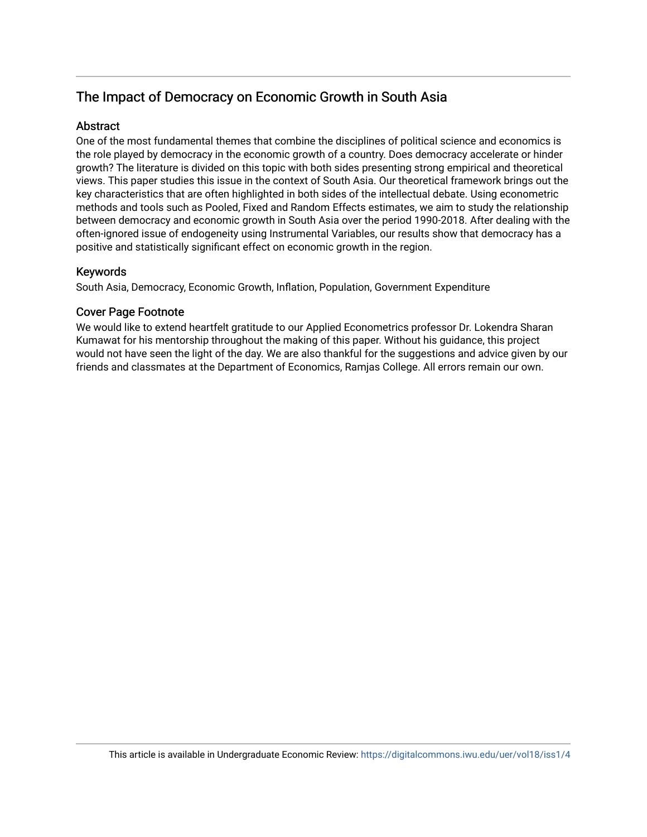## The Impact of Democracy on Economic Growth in South Asia

#### **Abstract**

One of the most fundamental themes that combine the disciplines of political science and economics is the role played by democracy in the economic growth of a country. Does democracy accelerate or hinder growth? The literature is divided on this topic with both sides presenting strong empirical and theoretical views. This paper studies this issue in the context of South Asia. Our theoretical framework brings out the key characteristics that are often highlighted in both sides of the intellectual debate. Using econometric methods and tools such as Pooled, Fixed and Random Effects estimates, we aim to study the relationship between democracy and economic growth in South Asia over the period 1990-2018. After dealing with the often-ignored issue of endogeneity using Instrumental Variables, our results show that democracy has a positive and statistically significant effect on economic growth in the region.

#### Keywords

South Asia, Democracy, Economic Growth, Inflation, Population, Government Expenditure

#### Cover Page Footnote

We would like to extend heartfelt gratitude to our Applied Econometrics professor Dr. Lokendra Sharan Kumawat for his mentorship throughout the making of this paper. Without his guidance, this project would not have seen the light of the day. We are also thankful for the suggestions and advice given by our friends and classmates at the Department of Economics, Ramjas College. All errors remain our own.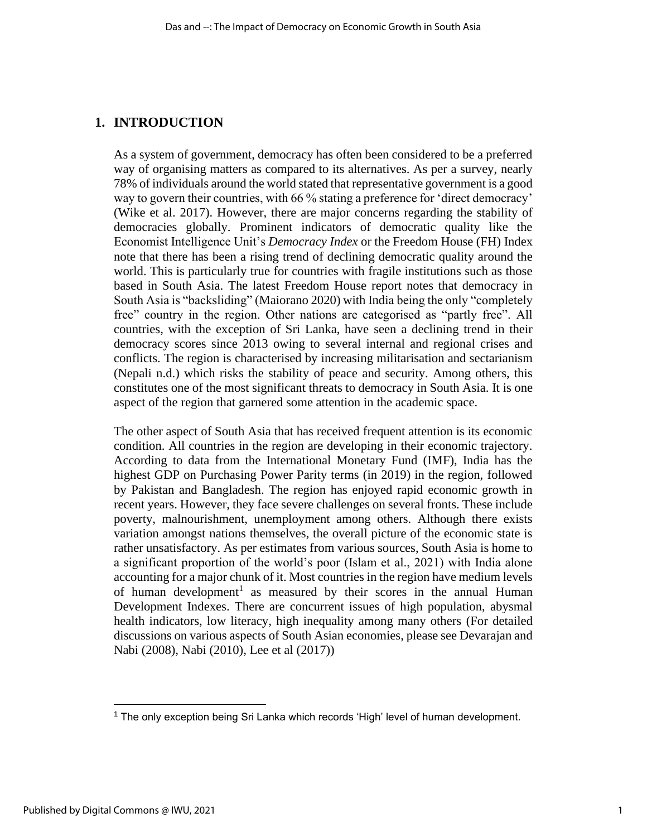### **1. INTRODUCTION**

As a system of government, democracy has often been considered to be a preferred way of organising matters as compared to its alternatives. As per a survey, nearly 78% of individuals around the world stated that representative government is a good way to govern their countries, with 66 % stating a preference for 'direct democracy' (Wike et al. 2017). However, there are major concerns regarding the stability of democracies globally. Prominent indicators of democratic quality like the Economist Intelligence Unit's *Democracy Index* or the Freedom House (FH) Index note that there has been a rising trend of declining democratic quality around the world. This is particularly true for countries with fragile institutions such as those based in South Asia. The latest Freedom House report notes that democracy in South Asia is "backsliding" (Maiorano 2020) with India being the only "completely free" country in the region. Other nations are categorised as "partly free". All countries, with the exception of Sri Lanka, have seen a declining trend in their democracy scores since 2013 owing to several internal and regional crises and conflicts. The region is characterised by increasing militarisation and sectarianism (Nepali n.d.) which risks the stability of peace and security. Among others, this constitutes one of the most significant threats to democracy in South Asia. It is one aspect of the region that garnered some attention in the academic space.

The other aspect of South Asia that has received frequent attention is its economic condition. All countries in the region are developing in their economic trajectory. According to data from the International Monetary Fund (IMF), India has the highest GDP on Purchasing Power Parity terms (in 2019) in the region, followed by Pakistan and Bangladesh. The region has enjoyed rapid economic growth in recent years. However, they face severe challenges on several fronts. These include poverty, malnourishment, unemployment among others. Although there exists variation amongst nations themselves, the overall picture of the economic state is rather unsatisfactory. As per estimates from various sources, South Asia is home to a significant proportion of the world's poor (Islam et al., 2021) with India alone accounting for a major chunk of it. Most countries in the region have medium levels of human development<sup>1</sup> as measured by their scores in the annual Human Development Indexes. There are concurrent issues of high population, abysmal health indicators, low literacy, high inequality among many others (For detailed discussions on various aspects of South Asian economies, please see Devarajan and Nabi (2008), Nabi (2010), Lee et al (2017))

 $1$  The only exception being Sri Lanka which records 'High' level of human development.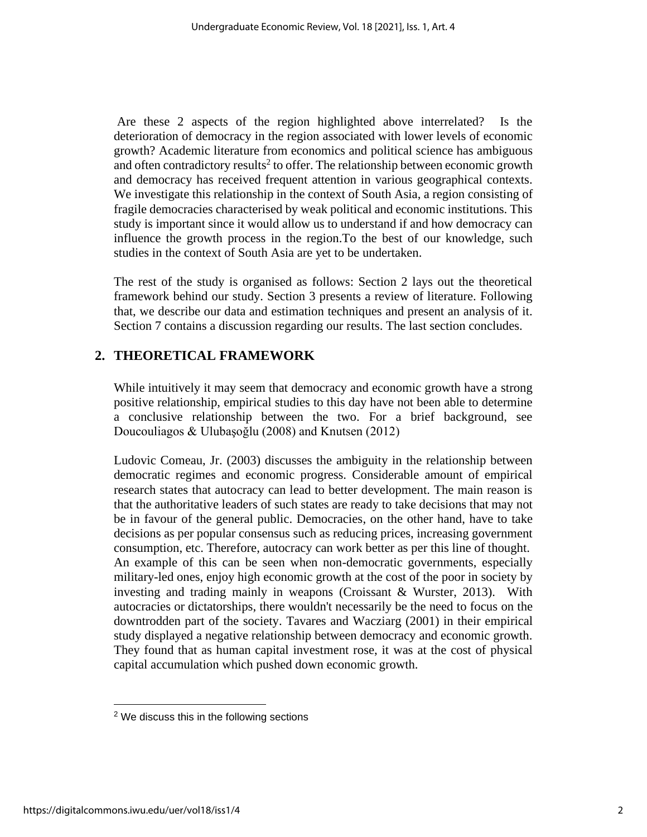Are these 2 aspects of the region highlighted above interrelated? Is the deterioration of democracy in the region associated with lower levels of economic growth? Academic literature from economics and political science has ambiguous and often contradictory results<sup>2</sup> to offer. The relationship between economic growth and democracy has received frequent attention in various geographical contexts. We investigate this relationship in the context of South Asia, a region consisting of fragile democracies characterised by weak political and economic institutions. This study is important since it would allow us to understand if and how democracy can influence the growth process in the region.To the best of our knowledge, such studies in the context of South Asia are yet to be undertaken.

The rest of the study is organised as follows: Section 2 lays out the theoretical framework behind our study. Section 3 presents a review of literature. Following that, we describe our data and estimation techniques and present an analysis of it. Section 7 contains a discussion regarding our results. The last section concludes.

### **2. THEORETICAL FRAMEWORK**

While intuitively it may seem that democracy and economic growth have a strong positive relationship, empirical studies to this day have not been able to determine a conclusive relationship between the two. For a brief background, see Doucouliagos & Ulubaşoğlu (2008) and Knutsen (2012)

Ludovic Comeau, Jr. (2003) discusses the ambiguity in the relationship between democratic regimes and economic progress. Considerable amount of empirical research states that autocracy can lead to better development. The main reason is that the authoritative leaders of such states are ready to take decisions that may not be in favour of the general public. Democracies, on the other hand, have to take decisions as per popular consensus such as reducing prices, increasing government consumption, etc. Therefore, autocracy can work better as per this line of thought. An example of this can be seen when non-democratic governments, especially military-led ones, enjoy high economic growth at the cost of the poor in society by investing and trading mainly in weapons (Croissant & Wurster, 2013). With autocracies or dictatorships, there wouldn't necessarily be the need to focus on the downtrodden part of the society. Tavares and Wacziarg (2001) in their empirical study displayed a negative relationship between democracy and economic growth. They found that as human capital investment rose, it was at the cost of physical capital accumulation which pushed down economic growth.

<sup>&</sup>lt;sup>2</sup> We discuss this in the following sections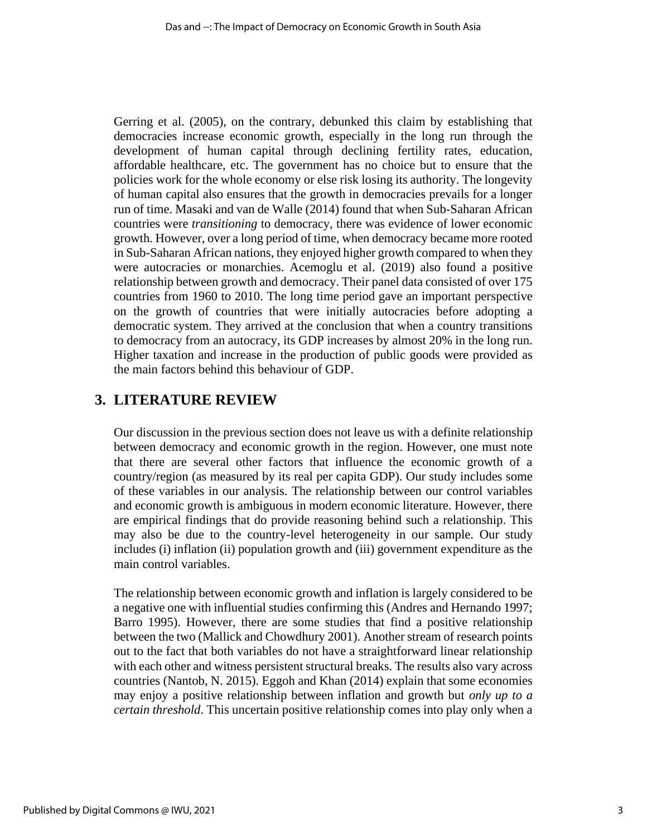Gerring et al. (2005), on the contrary, debunked this claim by establishing that democracies increase economic growth, especially in the long run through the development of human capital through declining fertility rates, education, affordable healthcare, etc. The government has no choice but to ensure that the policies work for the whole economy or else risk losing its authority. The longevity of human capital also ensures that the growth in democracies prevails for a longer run of time. Masaki and van de Walle (2014) found that when Sub-Saharan African countries were *transitioning* to democracy, there was evidence of lower economic growth. However, over a long period of time, when democracy became more rooted in Sub-Saharan African nations, they enjoyed higher growth compared to when they were autocracies or monarchies. Acemoglu et al. (2019) also found a positive relationship between growth and democracy. Their panel data consisted of over 175 countries from 1960 to 2010. The long time period gave an important perspective on the growth of countries that were initially autocracies before adopting a democratic system. They arrived at the conclusion that when a country transitions to democracy from an autocracy, its GDP increases by almost 20% in the long run. Higher taxation and increase in the production of public goods were provided as the main factors behind this behaviour of GDP.

## **3. LITERATURE REVIEW**

Our discussion in the previous section does not leave us with a definite relationship between democracy and economic growth in the region. However, one must note that there are several other factors that influence the economic growth of a country/region (as measured by its real per capita GDP). Our study includes some of these variables in our analysis. The relationship between our control variables and economic growth is ambiguous in modern economic literature. However, there are empirical findings that do provide reasoning behind such a relationship. This may also be due to the country-level heterogeneity in our sample. Our study includes (i) inflation (ii) population growth and (iii) government expenditure as the main control variables.

The relationship between economic growth and inflation is largely considered to be a negative one with influential studies confirming this (Andres and Hernando 1997; Barro 1995). However, there are some studies that find a positive relationship between the two (Mallick and Chowdhury 2001). Another stream of research points out to the fact that both variables do not have a straightforward linear relationship with each other and witness persistent structural breaks. The results also vary across countries (Nantob, N. 2015). Eggoh and Khan (2014) explain that some economies may enjoy a positive relationship between inflation and growth but *only up to a certain threshold*. This uncertain positive relationship comes into play only when a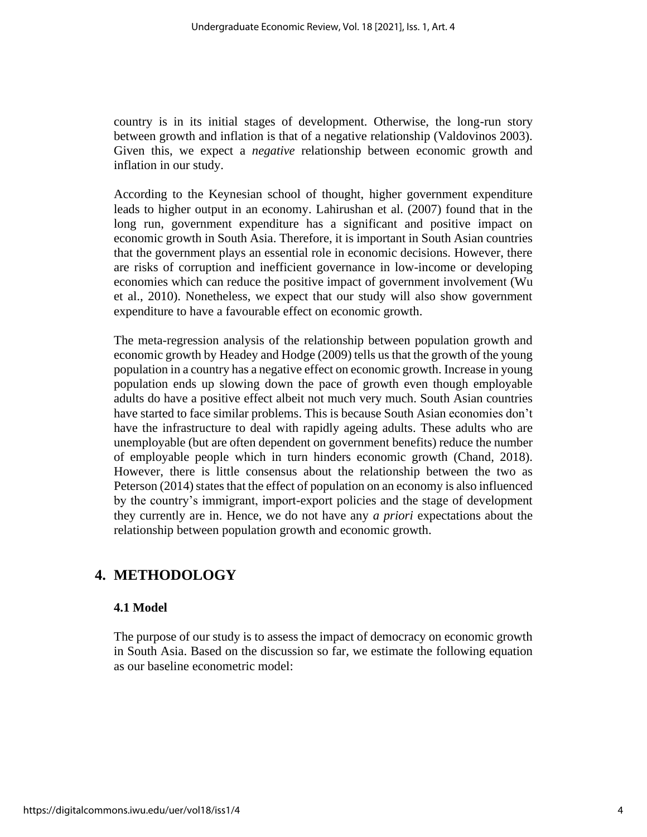country is in its initial stages of development. Otherwise, the long-run story between growth and inflation is that of a negative relationship (Valdovinos 2003). Given this, we expect a *negative* relationship between economic growth and inflation in our study.

According to the Keynesian school of thought, higher government expenditure leads to higher output in an economy. Lahirushan et al. (2007) found that in the long run, government expenditure has a significant and positive impact on economic growth in South Asia. Therefore, it is important in South Asian countries that the government plays an essential role in economic decisions. However, there are risks of corruption and inefficient governance in low-income or developing economies which can reduce the positive impact of government involvement (Wu et al., 2010). Nonetheless, we expect that our study will also show government expenditure to have a favourable effect on economic growth.

The meta-regression analysis of the relationship between population growth and economic growth by Headey and Hodge (2009) tells us that the growth of the young population in a country has a negative effect on economic growth. Increase in young population ends up slowing down the pace of growth even though employable adults do have a positive effect albeit not much very much. South Asian countries have started to face similar problems. This is because South Asian economies don't have the infrastructure to deal with rapidly ageing adults. These adults who are unemployable (but are often dependent on government benefits) reduce the number of employable people which in turn hinders economic growth (Chand, 2018). However, there is little consensus about the relationship between the two as Peterson (2014) states that the effect of population on an economy is also influenced by the country's immigrant, import-export policies and the stage of development they currently are in. Hence, we do not have any *a priori* expectations about the relationship between population growth and economic growth.

### **4. METHODOLOGY**

#### **4.1 Model**

The purpose of our study is to assess the impact of democracy on economic growth in South Asia. Based on the discussion so far, we estimate the following equation as our baseline econometric model: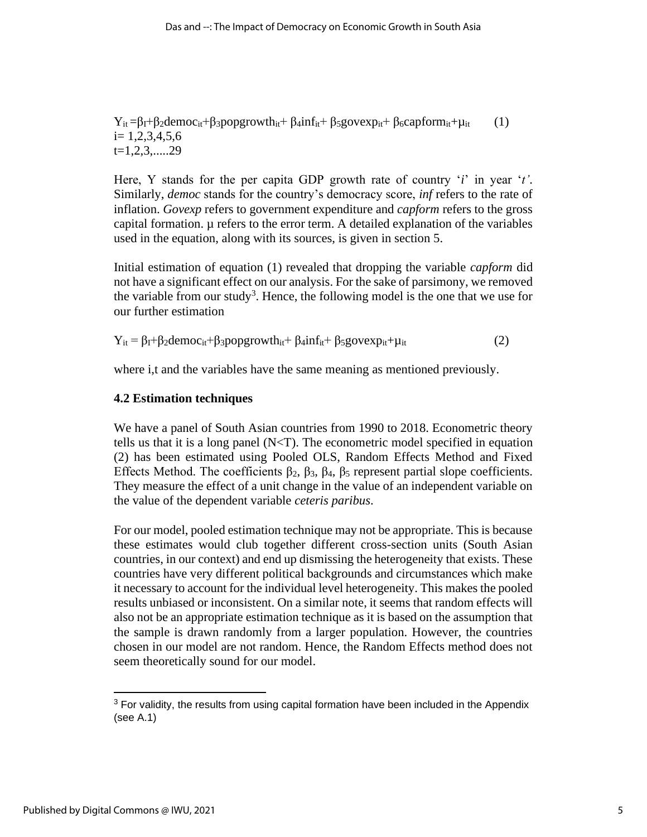$Y_{it} = \beta_I + \beta_2$ democ<sub>it</sub>+ $\beta_3$ popgrowth<sub>it</sub>+  $\beta_4$ inf<sub>it</sub>+  $\beta_5$ govexp<sub>it</sub>+  $\beta_6$ capform<sub>it</sub>+ $\mu_{it}$  (1)  $i= 1,2,3,4,5,6$  $t=1,2,3,....29$ 

Here, Y stands for the per capita GDP growth rate of country '*i*' in year '*t'*. Similarly, *democ* stands for the country's democracy score, *inf* refers to the rate of inflation. *Govexp* refers to government expenditure and *capform* refers to the gross capital formation. µ refers to the error term. A detailed explanation of the variables used in the equation, along with its sources, is given in section 5.

Initial estimation of equation (1) revealed that dropping the variable *capform* did not have a significant effect on our analysis. For the sake of parsimony, we removed the variable from our study<sup>3</sup>. Hence, the following model is the one that we use for our further estimation

 $Y_{it} = \beta_I + \beta_2$ democ<sub>it</sub>+ $\beta_3$ popgrowth<sub>it</sub>+  $\beta_4$ inf<sub>it</sub>+  $\beta_5$ govexp<sub>it</sub>+ $\mu_{it}$  (2)

where i,t and the variables have the same meaning as mentioned previously.

#### **4.2 Estimation techniques**

We have a panel of South Asian countries from 1990 to 2018. Econometric theory tells us that it is a long panel  $(N < T)$ . The econometric model specified in equation (2) has been estimated using Pooled OLS, Random Effects Method and Fixed Effects Method. The coefficients  $β_2$ ,  $β_3$ ,  $β_4$ ,  $β_5$  represent partial slope coefficients. They measure the effect of a unit change in the value of an independent variable on the value of the dependent variable *ceteris paribus*.

For our model, pooled estimation technique may not be appropriate. This is because these estimates would club together different cross-section units (South Asian countries, in our context) and end up dismissing the heterogeneity that exists. These countries have very different political backgrounds and circumstances which make it necessary to account for the individual level heterogeneity. This makes the pooled results unbiased or inconsistent. On a similar note, it seems that random effects will also not be an appropriate estimation technique as it is based on the assumption that the sample is drawn randomly from a larger population. However, the countries chosen in our model are not random. Hence, the Random Effects method does not seem theoretically sound for our model.

 $3$  For validity, the results from using capital formation have been included in the Appendix (see A.1)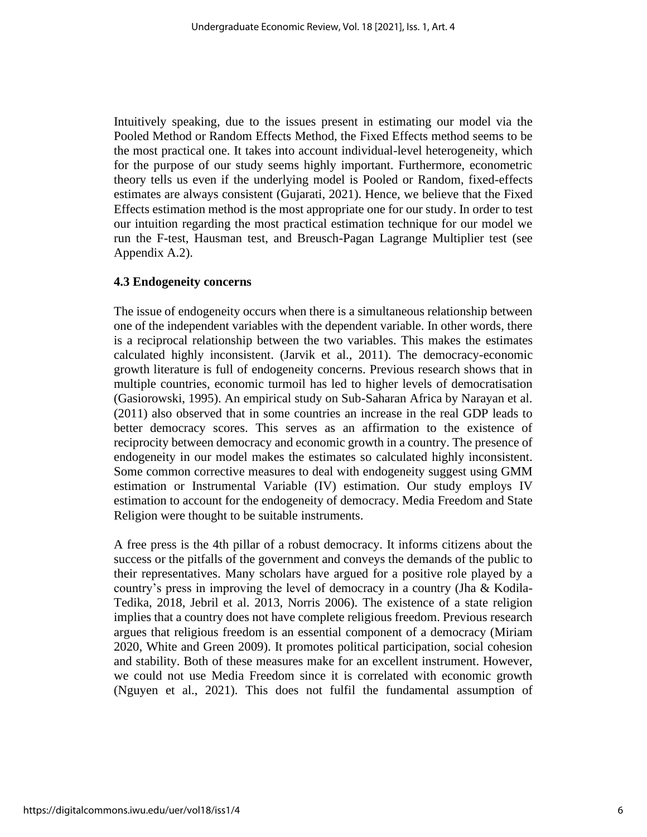Intuitively speaking, due to the issues present in estimating our model via the Pooled Method or Random Effects Method, the Fixed Effects method seems to be the most practical one. It takes into account individual-level heterogeneity, which for the purpose of our study seems highly important. Furthermore, econometric theory tells us even if the underlying model is Pooled or Random, fixed-effects estimates are always consistent (Gujarati, 2021). Hence, we believe that the Fixed Effects estimation method is the most appropriate one for our study. In order to test our intuition regarding the most practical estimation technique for our model we run the F-test, Hausman test, and Breusch-Pagan Lagrange Multiplier test (see Appendix A.2).

### **4.3 Endogeneity concerns**

The issue of endogeneity occurs when there is a simultaneous relationship between one of the independent variables with the dependent variable. In other words, there is a reciprocal relationship between the two variables. This makes the estimates calculated highly inconsistent. (Jarvik et al., 2011). The democracy-economic growth literature is full of endogeneity concerns. Previous research shows that in multiple countries, economic turmoil has led to higher levels of democratisation (Gasiorowski, 1995). An empirical study on Sub-Saharan Africa by Narayan et al. (2011) also observed that in some countries an increase in the real GDP leads to better democracy scores. This serves as an affirmation to the existence of reciprocity between democracy and economic growth in a country. The presence of endogeneity in our model makes the estimates so calculated highly inconsistent. Some common corrective measures to deal with endogeneity suggest using GMM estimation or Instrumental Variable (IV) estimation. Our study employs IV estimation to account for the endogeneity of democracy. Media Freedom and State Religion were thought to be suitable instruments.

A free press is the 4th pillar of a robust democracy. It informs citizens about the success or the pitfalls of the government and conveys the demands of the public to their representatives. Many scholars have argued for a positive role played by a country's press in improving the level of democracy in a country (Jha & Kodila-Tedika, 2018, Jebril et al. 2013, Norris 2006). The existence of a state religion implies that a country does not have complete religious freedom. Previous research argues that religious freedom is an essential component of a democracy (Miriam 2020, White and Green 2009). It promotes political participation, social cohesion and stability. Both of these measures make for an excellent instrument. However, we could not use Media Freedom since it is correlated with economic growth (Nguyen et al., 2021). This does not fulfil the fundamental assumption of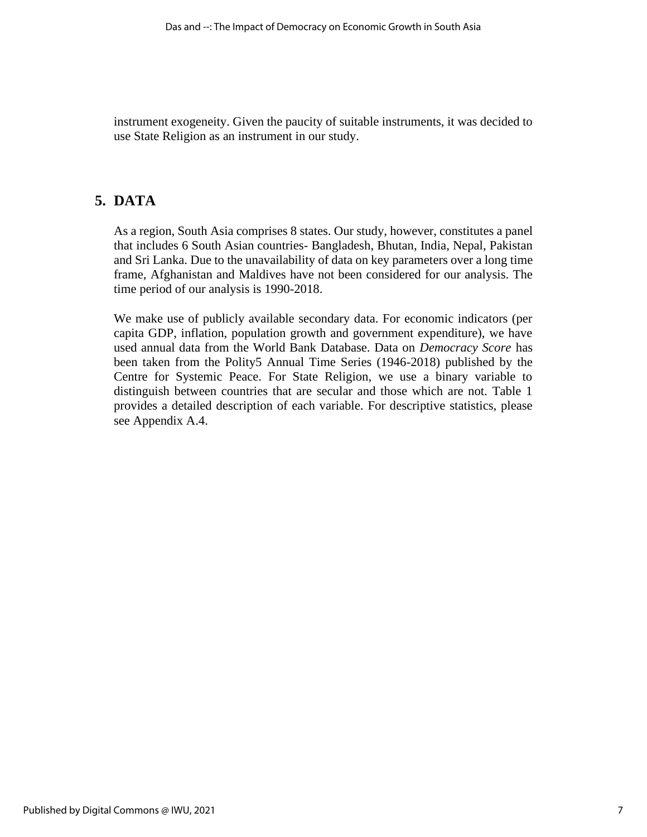instrument exogeneity. Given the paucity of suitable instruments, it was decided to use State Religion as an instrument in our study.

## **5. DATA**

As a region, South Asia comprises 8 states. Our study, however, constitutes a panel that includes 6 South Asian countries- Bangladesh, Bhutan, India, Nepal, Pakistan and Sri Lanka. Due to the unavailability of data on key parameters over a long time frame, Afghanistan and Maldives have not been considered for our analysis. The time period of our analysis is 1990-2018.

We make use of publicly available secondary data. For economic indicators (per capita GDP, inflation, population growth and government expenditure), we have used annual data from the World Bank Database. Data on *Democracy Score* has been taken from the Polity5 Annual Time Series (1946-2018) published by the Centre for Systemic Peace. For State Religion, we use a binary variable to distinguish between countries that are secular and those which are not. Table 1 provides a detailed description of each variable. For descriptive statistics, please see Appendix A.4.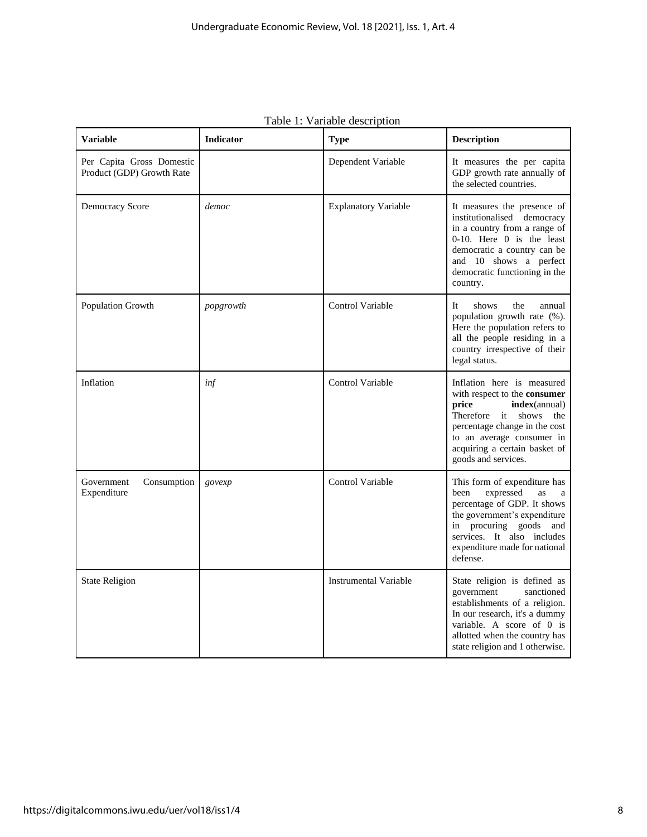| <b>Variable</b>                                        | <b>Indicator</b> | <b>Type</b>                 | <b>Description</b>                                                                                                                                                                                                                                 |
|--------------------------------------------------------|------------------|-----------------------------|----------------------------------------------------------------------------------------------------------------------------------------------------------------------------------------------------------------------------------------------------|
| Per Capita Gross Domestic<br>Product (GDP) Growth Rate |                  | Dependent Variable          | It measures the per capita<br>GDP growth rate annually of<br>the selected countries.                                                                                                                                                               |
| <b>Democracy Score</b>                                 | democ            | <b>Explanatory Variable</b> | It measures the presence of<br>institutionalised democracy<br>in a country from a range of<br>0-10. Here 0 is the least<br>democratic a country can be<br>and 10 shows a perfect<br>democratic functioning in the<br>country.                      |
| Population Growth                                      | popgrowth        | <b>Control Variable</b>     | <b>It</b><br>shows<br>the<br>annual<br>population growth rate (%).<br>Here the population refers to<br>all the people residing in a<br>country irrespective of their<br>legal status.                                                              |
| Inflation                                              | inf              | Control Variable            | Inflation here is measured<br>with respect to the consumer<br>price<br><b>index</b> (annual)<br>Therefore it<br>shows<br>the<br>percentage change in the cost<br>to an average consumer in<br>acquiring a certain basket of<br>goods and services. |
| Government<br>Consumption<br>Expenditure               | govexp           | Control Variable            | This form of expenditure has<br>been<br>expressed<br>as<br>a<br>percentage of GDP. It shows<br>the government's expenditure<br>in procuring goods<br>and<br>services. It also includes<br>expenditure made for national<br>defense.                |
| <b>State Religion</b>                                  |                  | Instrumental Variable       | State religion is defined as<br>government<br>sanctioned<br>establishments of a religion.<br>In our research, it's a dummy<br>variable. A score of 0 is<br>allotted when the country has<br>state religion and 1 otherwise.                        |

Table 1: Variable description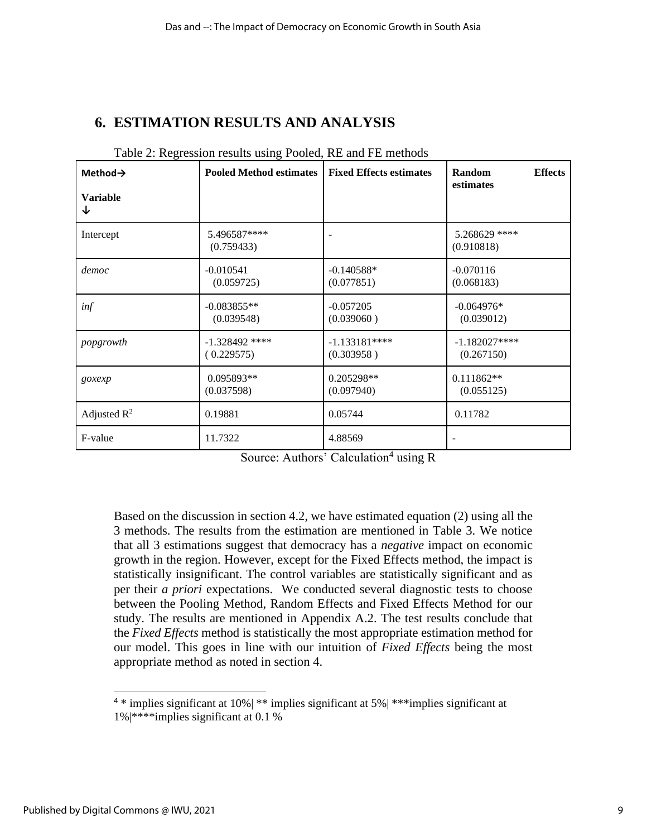## **6. ESTIMATION RESULTS AND ANALYSIS**

| Method $\rightarrow$<br><b>Variable</b><br>↓ | <b>Pooled Method estimates</b> | <b>Fixed Effects estimates</b> | Random<br><b>Effects</b><br>estimates |
|----------------------------------------------|--------------------------------|--------------------------------|---------------------------------------|
| Intercept                                    | 5.496587****<br>(0.759433)     |                                | 5.268629 ****<br>(0.910818)           |
| democ                                        | $-0.010541$                    | $-0.140588*$                   | $-0.070116$                           |
|                                              | (0.059725)                     | (0.077851)                     | (0.068183)                            |
| inf                                          | $-0.083855**$                  | $-0.057205$                    | $-0.064976*$                          |
|                                              | (0.039548)                     | (0.039060)                     | (0.039012)                            |
| popgrowth                                    | $-1.328492$ ****               | $-1.133181***$                 | $-1.182027***$                        |
|                                              | (0.229575)                     | (0.303958)                     | (0.267150)                            |
| goxexp                                       | 0.095893**                     | 0.205298**                     | $0.111862**$                          |
|                                              | (0.037598)                     | (0.097940)                     | (0.055125)                            |
| Adjusted $R^2$                               | 0.19881                        | 0.05744                        | 0.11782                               |
| F-value                                      | 11.7322                        | 4.88569                        |                                       |

#### Table 2: Regression results using Pooled, RE and FE methods

Based on the discussion in section 4.2, we have estimated equation (2) using all the 3 methods. The results from the estimation are mentioned in Table 3. We notice that all 3 estimations suggest that democracy has a *negative* impact on economic growth in the region. However, except for the Fixed Effects method, the impact is statistically insignificant. The control variables are statistically significant and as per their *a priori* expectations. We conducted several diagnostic tests to choose between the Pooling Method, Random Effects and Fixed Effects Method for our study. The results are mentioned in Appendix A.2. The test results conclude that the *Fixed Effects* method is statistically the most appropriate estimation method for our model. This goes in line with our intuition of *Fixed Effects* being the most appropriate method as noted in section 4.

<sup>4</sup> \* implies significant at 10%| \*\* implies significant at 5%| \*\*\*implies significant at 1%|\*\*\*\*implies significant at 0.1 %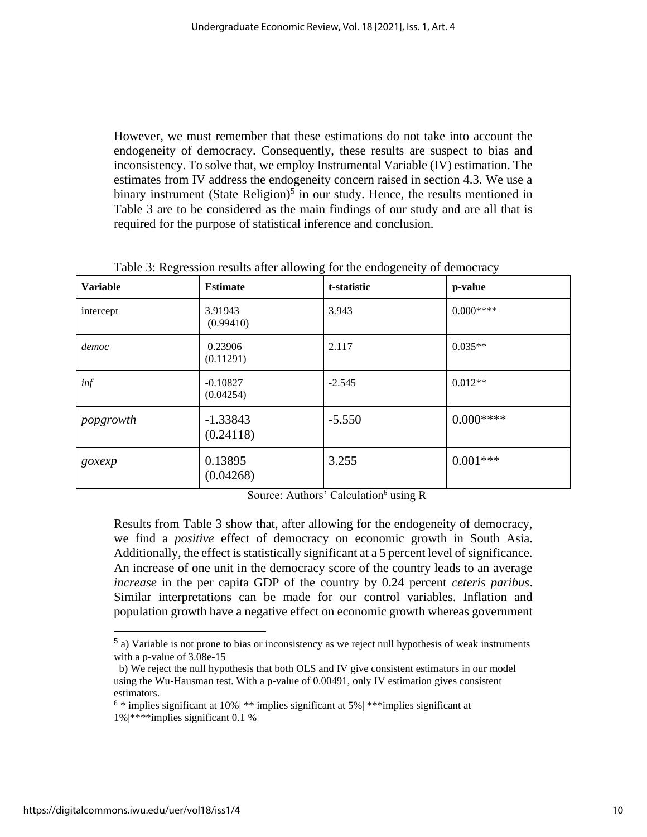However, we must remember that these estimations do not take into account the endogeneity of democracy. Consequently, these results are suspect to bias and inconsistency. To solve that, we employ Instrumental Variable (IV) estimation. The estimates from IV address the endogeneity concern raised in section 4.3. We use a binary instrument (State Religion)<sup>5</sup> in our study. Hence, the results mentioned in Table 3 are to be considered as the main findings of our study and are all that is required for the purpose of statistical inference and conclusion.

| <b>Variable</b> | <b>Estimate</b>         | t-statistic | p-value    |
|-----------------|-------------------------|-------------|------------|
| intercept       | 3.91943<br>(0.99410)    | 3.943       | $0.000***$ |
| democ           | 0.23906<br>(0.11291)    | 2.117       | $0.035**$  |
| inf             | $-0.10827$<br>(0.04254) | $-2.545$    | $0.012**$  |
| popgrowth       | $-1.33843$<br>(0.24118) | $-5.550$    | $0.000***$ |
| goxexp          | 0.13895<br>(0.04268)    | 3.255       | $0.001***$ |

Table 3: Regression results after allowing for the endogeneity of democracy

Source: Authors' Calculation<sup>6</sup> using R

Results from Table 3 show that, after allowing for the endogeneity of democracy, we find a *positive* effect of democracy on economic growth in South Asia. Additionally, the effect is statistically significant at a 5 percent level of significance. An increase of one unit in the democracy score of the country leads to an average *increase* in the per capita GDP of the country by 0.24 percent *ceteris paribus*. Similar interpretations can be made for our control variables. Inflation and population growth have a negative effect on economic growth whereas government

 $<sup>5</sup>$  a) Variable is not prone to bias or inconsistency as we reject null hypothesis of weak instruments</sup> with a p-value of 3.08e-15

b) We reject the null hypothesis that both OLS and IV give consistent estimators in our model using the Wu-Hausman test. With a p-value of 0.00491, only IV estimation gives consistent estimators.

 $6 *$  implies significant at 10%  $\mid$  \*\* implies significant at 5%  $\mid$  \*\*\* implies significant at 1%|\*\*\*\*implies significant 0.1 %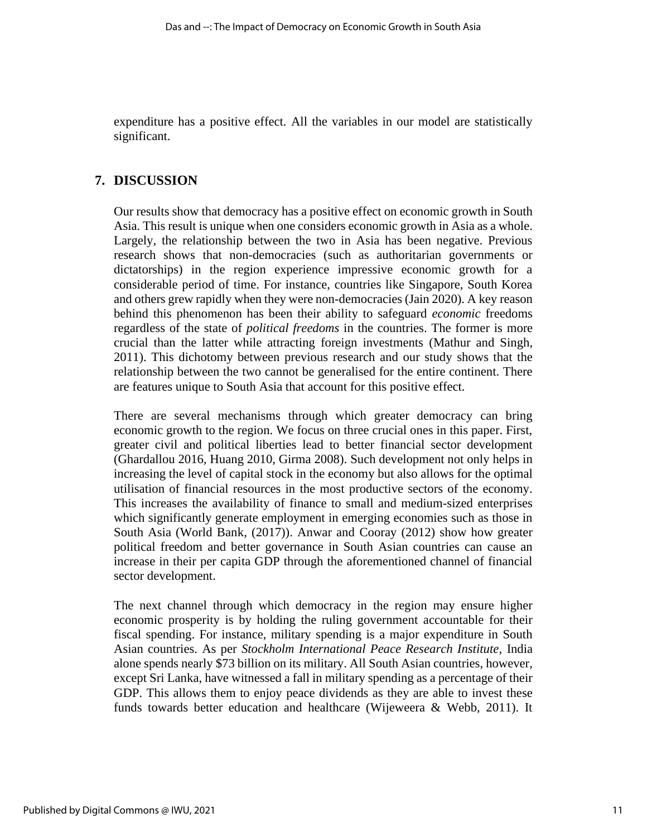expenditure has a positive effect. All the variables in our model are statistically significant.

### **7. DISCUSSION**

Our results show that democracy has a positive effect on economic growth in South Asia. This result is unique when one considers economic growth in Asia as a whole. Largely, the relationship between the two in Asia has been negative. Previous research shows that non-democracies (such as authoritarian governments or dictatorships) in the region experience impressive economic growth for a considerable period of time. For instance, countries like Singapore, South Korea and others grew rapidly when they were non-democracies (Jain 2020). A key reason behind this phenomenon has been their ability to safeguard *economic* freedoms regardless of the state of *political freedoms* in the countries. The former is more crucial than the latter while attracting foreign investments (Mathur and Singh, 2011). This dichotomy between previous research and our study shows that the relationship between the two cannot be generalised for the entire continent. There are features unique to South Asia that account for this positive effect.

There are several mechanisms through which greater democracy can bring economic growth to the region. We focus on three crucial ones in this paper. First, greater civil and political liberties lead to better financial sector development (Ghardallou 2016, Huang 2010, Girma 2008). Such development not only helps in increasing the level of capital stock in the economy but also allows for the optimal utilisation of financial resources in the most productive sectors of the economy. This increases the availability of finance to small and medium-sized enterprises which significantly generate employment in emerging economies such as those in South Asia (World Bank, (2017)). Anwar and Cooray (2012) show how greater political freedom and better governance in South Asian countries can cause an increase in their per capita GDP through the aforementioned channel of financial sector development.

The next channel through which democracy in the region may ensure higher economic prosperity is by holding the ruling government accountable for their fiscal spending. For instance, military spending is a major expenditure in South Asian countries. As per *Stockholm International Peace Research Institute,* India alone spends nearly \$73 billion on its military. All South Asian countries, however, except Sri Lanka, have witnessed a fall in military spending as a percentage of their GDP. This allows them to enjoy peace dividends as they are able to invest these funds towards better education and healthcare (Wijeweera & Webb, 2011). It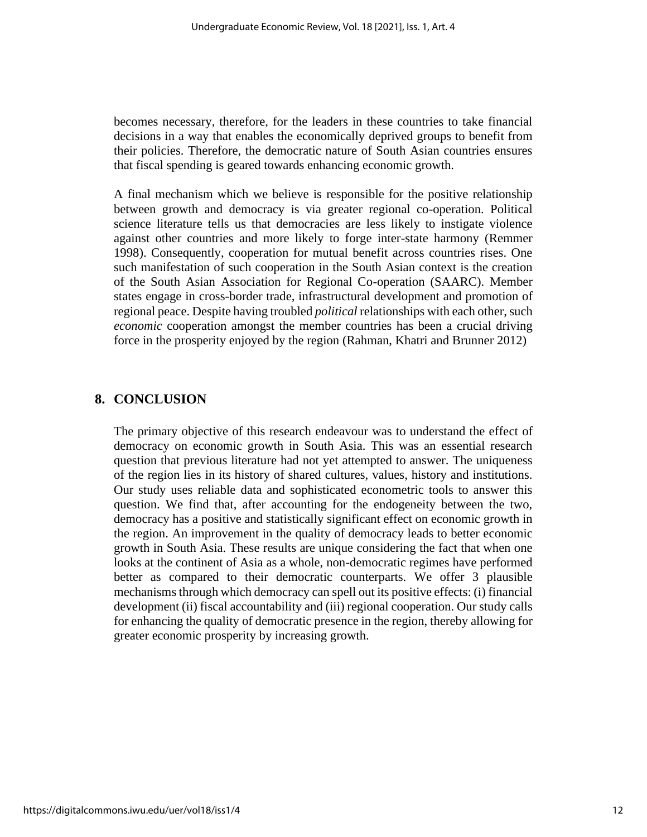becomes necessary, therefore, for the leaders in these countries to take financial decisions in a way that enables the economically deprived groups to benefit from their policies. Therefore, the democratic nature of South Asian countries ensures that fiscal spending is geared towards enhancing economic growth.

A final mechanism which we believe is responsible for the positive relationship between growth and democracy is via greater regional co-operation. Political science literature tells us that democracies are less likely to instigate violence against other countries and more likely to forge inter-state harmony (Remmer 1998). Consequently, cooperation for mutual benefit across countries rises. One such manifestation of such cooperation in the South Asian context is the creation of the South Asian Association for Regional Co-operation (SAARC). Member states engage in cross-border trade, infrastructural development and promotion of regional peace. Despite having troubled *political* relationships with each other, such *economic* cooperation amongst the member countries has been a crucial driving force in the prosperity enjoyed by the region (Rahman, Khatri and Brunner 2012)

### **8. CONCLUSION**

The primary objective of this research endeavour was to understand the effect of democracy on economic growth in South Asia. This was an essential research question that previous literature had not yet attempted to answer. The uniqueness of the region lies in its history of shared cultures, values, history and institutions. Our study uses reliable data and sophisticated econometric tools to answer this question. We find that, after accounting for the endogeneity between the two, democracy has a positive and statistically significant effect on economic growth in the region. An improvement in the quality of democracy leads to better economic growth in South Asia. These results are unique considering the fact that when one looks at the continent of Asia as a whole, non-democratic regimes have performed better as compared to their democratic counterparts. We offer 3 plausible mechanisms through which democracy can spell out its positive effects: (i) financial development (ii) fiscal accountability and (iii) regional cooperation. Our study calls for enhancing the quality of democratic presence in the region, thereby allowing for greater economic prosperity by increasing growth.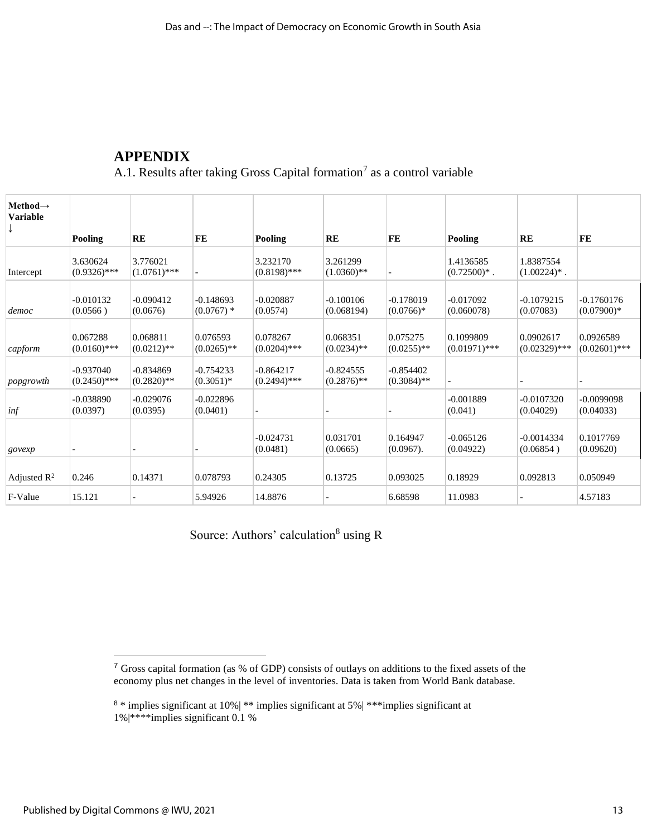## **APPENDIX**

A.1. Results after taking Gross Capital formation<sup>7</sup> as a control variable

| Method $\rightarrow$<br><b>Variable</b> | Pooling                       | RE                           | FE                          | Pooling                       | <b>RE</b>                    | FE                           | Pooling                        | <b>RE</b>                      | FE                           |
|-----------------------------------------|-------------------------------|------------------------------|-----------------------------|-------------------------------|------------------------------|------------------------------|--------------------------------|--------------------------------|------------------------------|
|                                         |                               |                              |                             |                               |                              |                              |                                |                                |                              |
| Intercept                               | 3.630624<br>$(0.9326)$ ***    | 3.776021<br>$(1.0761)$ ***   | $\overline{\phantom{0}}$    | 3.232170<br>$(0.8198)$ ***    | 3.261299<br>$(1.0360)**$     |                              | 1.4136585<br>$(0.72500)^{*}$ . | 1.8387554<br>$(1.00224)^{*}$ . |                              |
| democ                                   | $-0.010132$<br>(0.0566)       | $-0.090412$<br>(0.0676)      | $-0.148693$<br>$(0.0767)$ * | $-0.020887$<br>(0.0574)       | $-0.100106$<br>(0.068194)    | $-0.178019$<br>$(0.0766)*$   | $-0.017092$<br>(0.060078)      | $-0.1079215$<br>(0.07083)      | $-0.1760176$<br>$(0.07900)*$ |
| capform                                 | 0.067288<br>$(0.0160)$ ***    | 0.068811<br>$(0.0212)$ **    | 0.076593<br>$(0.0265)$ **   | 0.078267<br>$(0.0204)$ ***    | 0.068351<br>$(0.0234)$ **    | 0.075275<br>$(0.0255)$ **    | 0.1099809<br>$(0.01971)$ ***   | 0.0902617<br>$(0.02329)$ ***   | 0.0926589<br>$(0.02601)$ *** |
| popgrowth                               | $-0.937040$<br>$(0.2450)$ *** | $-0.834869$<br>$(0.2820)$ ** | $-0.754233$<br>$(0.3051)$ * | $-0.864217$<br>$(0.2494)$ *** | $-0.824555$<br>$(0.2876)$ ** | $-0.854402$<br>$(0.3084)$ ** |                                |                                |                              |
| inf                                     | $-0.038890$<br>(0.0397)       | $-0.029076$<br>(0.0395)      | $-0.022896$<br>(0.0401)     |                               |                              |                              | $-0.001889$<br>(0.041)         | $-0.0107320$<br>(0.04029)      | $-0.0099098$<br>(0.04033)    |
| govexp                                  |                               |                              |                             | $-0.024731$<br>(0.0481)       | 0.031701<br>(0.0665)         | 0.164947<br>$(0.0967)$ .     | $-0.065126$<br>(0.04922)       | $-0.0014334$<br>(0.06854)      | 0.1017769<br>(0.09620)       |
| Adjusted $\mathbb{R}^2$                 | 0.246                         | 0.14371                      | 0.078793                    | 0.24305                       | 0.13725                      | 0.093025                     | 0.18929                        | 0.092813                       | 0.050949                     |
| F-Value                                 | 15.121                        |                              | 5.94926                     | 14.8876                       |                              | 6.68598                      | 11.0983                        |                                | 4.57183                      |

Source: Authors' calculation<sup>8</sup> using R

 $7$  Gross capital formation (as % of GDP) consists of outlays on additions to the fixed assets of the economy plus net changes in the level of inventories. Data is taken from World Bank database.

 $8 *$  implies significant at 10%| \*\* implies significant at 5%| \*\*\* implies significant at  $1\%$  |\*\*\*\*implies significant 0.1 %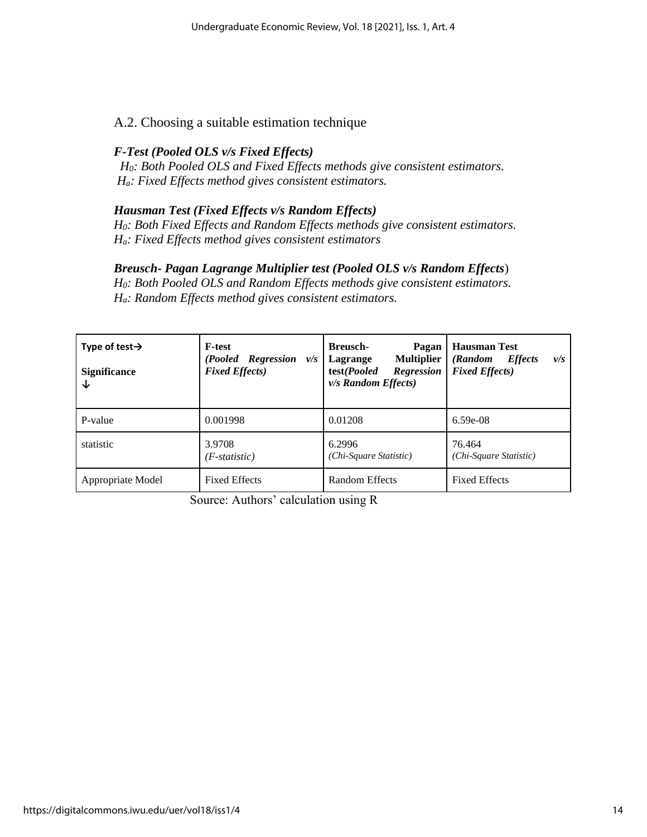### A.2. Choosing a suitable estimation technique

### *F-Test (Pooled OLS v/s Fixed Effects)*

 *H0: Both Pooled OLS and Fixed Effects methods give consistent estimators. Ha: Fixed Effects method gives consistent estimators.*

#### *Hausman Test (Fixed Effects v/s Random Effects)*

*H0: Both Fixed Effects and Random Effects methods give consistent estimators. Ha: Fixed Effects method gives consistent estimators* 

#### *Breusch- Pagan Lagrange Multiplier test (Pooled OLS v/s Random Effects*)

*H0: Both Pooled OLS and Random Effects methods give consistent estimators. Ha: Random Effects method gives consistent estimators.* 

| Type of test $\rightarrow$<br><b>Significance</b><br>↓ | <b>F-test</b><br>(Pooled Regression<br>v/s<br><b>Fixed Effects</b> ) | <b>Breusch-</b><br>Pagan<br><b>Multiplier</b><br>Lagrange<br>test(Pooled<br><b>Regression</b><br>$v/s$ Random Effects) | <b>Hausman Test</b><br><b>Effects</b><br>(Random<br>v/s<br><b>Fixed Effects</b> ) |  |
|--------------------------------------------------------|----------------------------------------------------------------------|------------------------------------------------------------------------------------------------------------------------|-----------------------------------------------------------------------------------|--|
| P-value                                                | 0.001998                                                             | 0.01208                                                                                                                | $6.59e-08$                                                                        |  |
| statistic                                              | 3.9708<br>$(F-statistic)$                                            | 6.2996<br>(Chi-Square Statistic)                                                                                       | 76.464<br>(Chi-Square Statistic)                                                  |  |
| Appropriate Model                                      | <b>Fixed Effects</b>                                                 | Random Effects                                                                                                         | <b>Fixed Effects</b>                                                              |  |

Source: Authors' calculation using R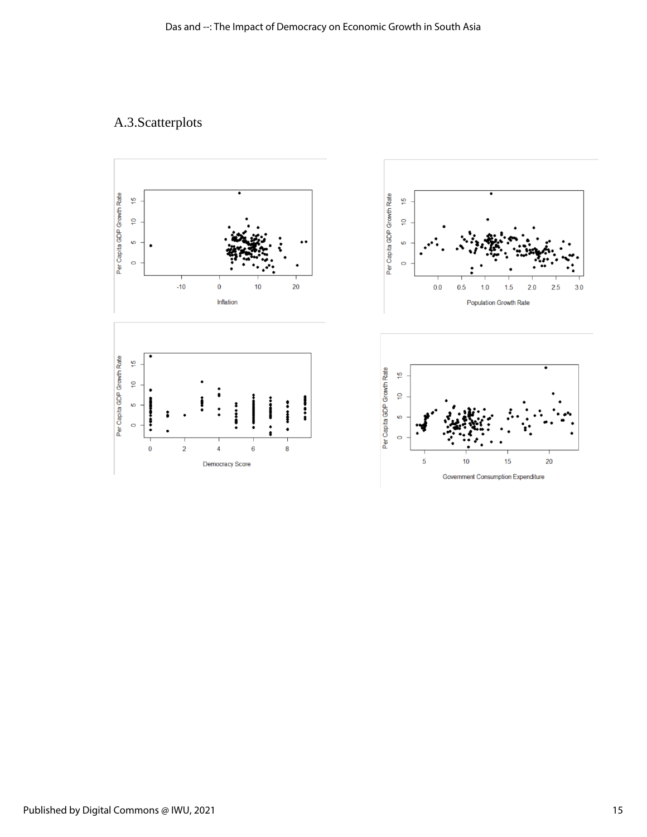## A.3.Scatterplots

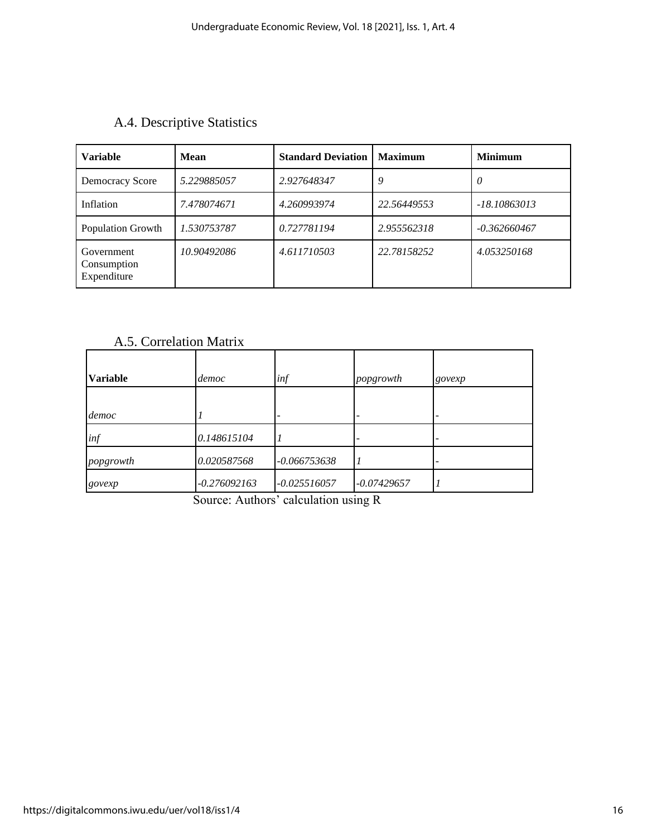| A.4. Descriptive Statistics |  |  |
|-----------------------------|--|--|
|-----------------------------|--|--|

| <b>Variable</b>                          | <b>Mean</b> | <b>Standard Deviation</b> | <b>Maximum</b> | <b>Minimum</b> |
|------------------------------------------|-------------|---------------------------|----------------|----------------|
| Democracy Score                          | 5.229885057 | 2.927648347               | 9              | $\theta$       |
| Inflation                                | 7.478074671 | 4.260993974               | 22.56449553    | -18.10863013   |
| Population Growth                        | 1.530753787 | 0.727781194               | 2.955562318    | $-0.362660467$ |
| Government<br>Consumption<br>Expenditure | 10.90492086 | 4.611710503               | 22.78158252    | 4.053250168    |

## A.5. Correlation Matrix

| <b>Variable</b> | democ          | inf            | popgrowth                | govexp |
|-----------------|----------------|----------------|--------------------------|--------|
|                 |                |                |                          |        |
| democ           |                |                |                          |        |
| inf             | 0.148615104    |                | $\overline{\phantom{a}}$ |        |
| popgrowth       | 0.020587568    | $-0.066753638$ |                          |        |
| govexp          | $-0.276092163$ | $-0.025516057$ | $-0.07429657$            |        |

Source: Authors' calculation using R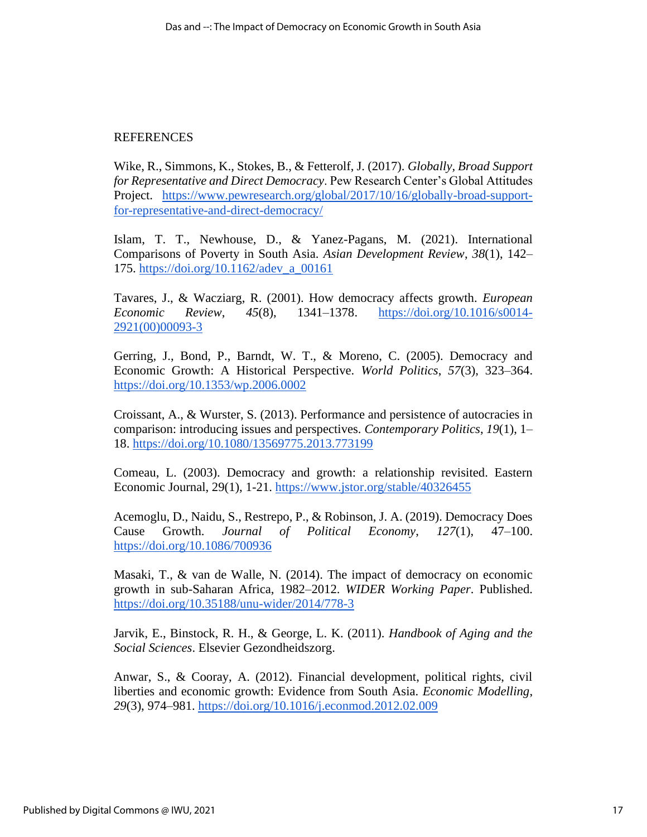### REFERENCES

Wike, R., Simmons, K., Stokes, B., & Fetterolf, J. (2017). *Globally, Broad Support for Representative and Direct Democracy*. Pew Research Center's Global Attitudes Project. [https://www.pewresearch.org/global/2017/10/16/globally-broad-support](https://www.pewresearch.org/global/2017/10/16/globally-broad-support-for-representative-and-direct-democracy/)[for-representative-and-direct-democracy/](https://www.pewresearch.org/global/2017/10/16/globally-broad-support-for-representative-and-direct-democracy/)

Islam, T. T., Newhouse, D., & Yanez-Pagans, M. (2021). International Comparisons of Poverty in South Asia. *Asian Development Review*, *38*(1), 142– 175. [https://doi.org/10.1162/adev\\_a\\_00161](https://doi.org/10.1162/adev_a_00161)

Tavares, J., & Wacziarg, R. (2001). How democracy affects growth. *European Economic Review*, *45*(8), 1341–1378. [https://doi.org/10.1016/s0014-](https://doi.org/10.1016/s0014-2921(00)00093-3) [2921\(00\)00093-3](https://doi.org/10.1016/s0014-2921(00)00093-3)

Gerring, J., Bond, P., Barndt, W. T., & Moreno, C. (2005). Democracy and Economic Growth: A Historical Perspective. *World Politics*, *57*(3), 323–364. <https://doi.org/10.1353/wp.2006.0002>

Croissant, A., & Wurster, S. (2013). Performance and persistence of autocracies in comparison: introducing issues and perspectives. *Contemporary Politics*, *19*(1), 1– 18.<https://doi.org/10.1080/13569775.2013.773199>

Comeau, L. (2003). Democracy and growth: a relationship revisited. Eastern Economic Journal, 29(1), 1-21.<https://www.jstor.org/stable/40326455>

Acemoglu, D., Naidu, S., Restrepo, P., & Robinson, J. A. (2019). Democracy Does Cause Growth. *Journal of Political Economy*, *127*(1), 47–100. <https://doi.org/10.1086/700936>

Masaki, T., & van de Walle, N. (2014). The impact of democracy on economic growth in sub-Saharan Africa, 1982–2012. *WIDER Working Paper*. Published. <https://doi.org/10.35188/unu-wider/2014/778-3>

Jarvik, E., Binstock, R. H., & George, L. K. (2011). *Handbook of Aging and the Social Sciences*. Elsevier Gezondheidszorg.

Anwar, S., & Cooray, A. (2012). Financial development, political rights, civil liberties and economic growth: Evidence from South Asia. *Economic Modelling*, *29*(3), 974–981.<https://doi.org/10.1016/j.econmod.2012.02.009>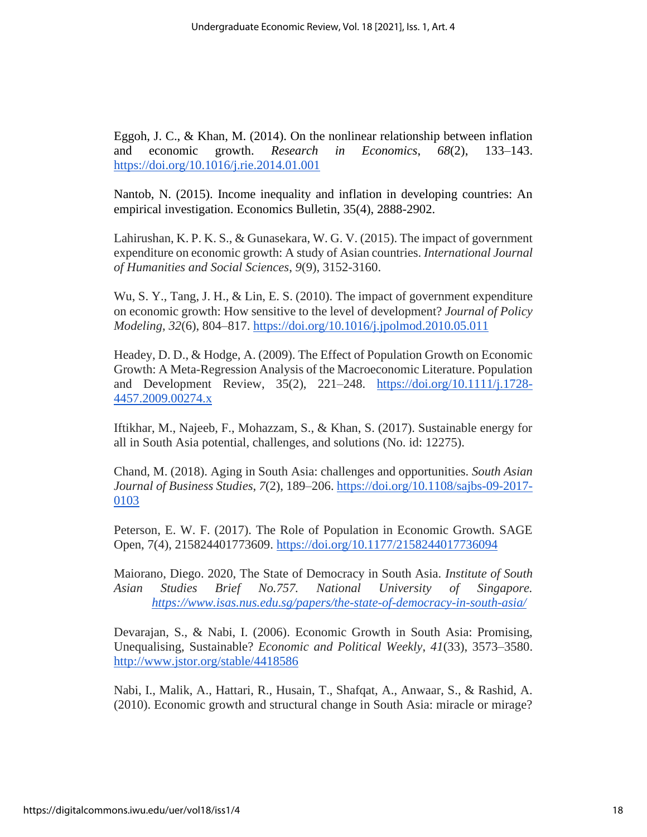Eggoh, J. C., & Khan, M. (2014). On the nonlinear relationship between inflation and economic growth. *Research in Economics*, *68*(2), 133–143. <https://doi.org/10.1016/j.rie.2014.01.001>

Nantob, N. (2015). Income inequality and inflation in developing countries: An empirical investigation. Economics Bulletin, 35(4), 2888-2902.

Lahirushan, K. P. K. S., & Gunasekara, W. G. V. (2015). The impact of government expenditure on economic growth: A study of Asian countries. *International Journal of Humanities and Social Sciences*, *9*(9), 3152-3160.

Wu, S. Y., Tang, J. H., & Lin, E. S. (2010). The impact of government expenditure on economic growth: How sensitive to the level of development? *Journal of Policy Modeling*, *32*(6), 804–817.<https://doi.org/10.1016/j.jpolmod.2010.05.011>

Headey, D. D., & Hodge, A. (2009). The Effect of Population Growth on Economic Growth: A Meta-Regression Analysis of the Macroeconomic Literature. Population and Development Review, 35(2), 221–248. [https://doi.org/10.1111/j.1728-](https://doi.org/10.1111/j.1728-4457.2009.00274.x) [4457.2009.00274.x](https://doi.org/10.1111/j.1728-4457.2009.00274.x)

Iftikhar, M., Najeeb, F., Mohazzam, S., & Khan, S. (2017). Sustainable energy for all in South Asia potential, challenges, and solutions (No. id: 12275).

Chand, M. (2018). Aging in South Asia: challenges and opportunities. *South Asian Journal of Business Studies*, *7*(2), 189–206. [https://doi.org/10.1108/sajbs-09-2017-](https://doi.org/10.1108/sajbs-09-2017-0103) [0103](https://doi.org/10.1108/sajbs-09-2017-0103)

Peterson, E. W. F. (2017). The Role of Population in Economic Growth. SAGE Open, 7(4), 215824401773609.<https://doi.org/10.1177/2158244017736094>

Maiorano, Diego. 2020, The State of Democracy in South Asia. *Institute of South Asian Studies Brief No.757. National University of Singapore. <https://www.isas.nus.edu.sg/papers/the-state-of-democracy-in-south-asia/>*

Devarajan, S., & Nabi, I. (2006). Economic Growth in South Asia: Promising, Unequalising, Sustainable? *Economic and Political Weekly*, *41*(33), 3573–3580. <http://www.jstor.org/stable/4418586>

Nabi, I., Malik, A., Hattari, R., Husain, T., Shafqat, A., Anwaar, S., & Rashid, A. (2010). Economic growth and structural change in South Asia: miracle or mirage?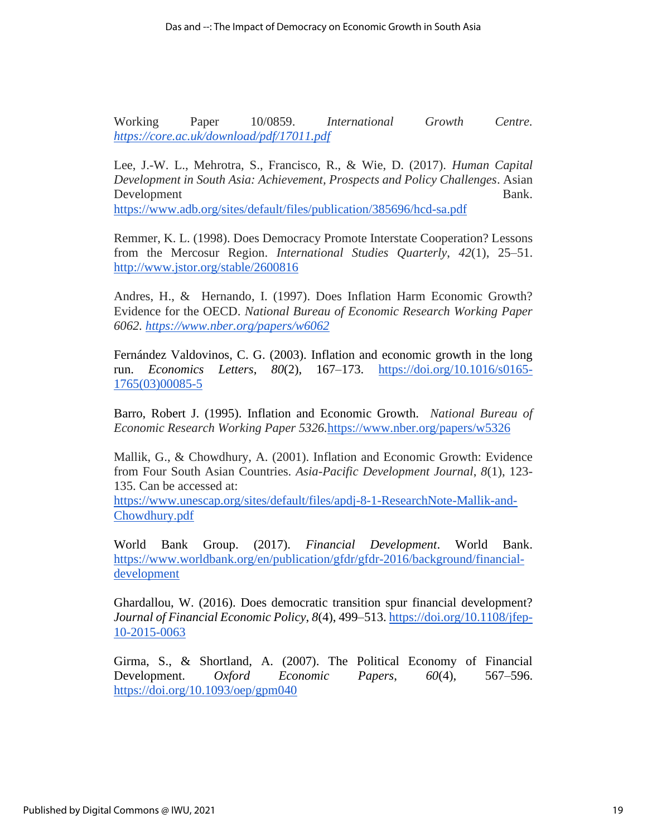Working Paper 10/0859. *International Growth Centre. <https://core.ac.uk/download/pdf/17011.pdf>*

Lee, J.-W. L., Mehrotra, S., Francisco, R., & Wie, D. (2017). *Human Capital Development in South Asia: Achievement, Prospects and Policy Challenges*. Asian Development Bank. <https://www.adb.org/sites/default/files/publication/385696/hcd-sa.pdf>

Remmer, K. L. (1998). Does Democracy Promote Interstate Cooperation? Lessons from the Mercosur Region. *International Studies Quarterly*, *42*(1), 25–51. <http://www.jstor.org/stable/2600816>

Andres, H., & Hernando, I. (1997). Does Inflation Harm Economic Growth? Evidence for the OECD. *National Bureau of Economic Research Working Paper 6062.<https://www.nber.org/papers/w6062>*

Fernández Valdovinos, C. G. (2003). Inflation and economic growth in the long run. *Economics Letters*, *80*(2), 167–173. [https://doi.org/10.1016/s0165-](https://doi.org/10.1016/s0165-1765(03)00085-5) [1765\(03\)00085-5](https://doi.org/10.1016/s0165-1765(03)00085-5)

Barro, Robert J. (1995). Inflation and Economic Growth. *National Bureau of Economic Research Working Paper 5326.*<https://www.nber.org/papers/w5326>

Mallik, G., & Chowdhury, A. (2001). Inflation and Economic Growth: Evidence from Four South Asian Countries. *Asia-Pacific Development Journal*, *8*(1), 123- 135. Can be accessed at:

[https://www.unescap.org/sites/default/files/apdj-8-1-ResearchNote-Mallik-and-](https://www.unescap.org/sites/default/files/apdj-8-1-ResearchNote-Mallik-and-Chowdhury.pdf)[Chowdhury.pdf](https://www.unescap.org/sites/default/files/apdj-8-1-ResearchNote-Mallik-and-Chowdhury.pdf)

World Bank Group. (2017). *Financial Development*. World Bank. [https://www.worldbank.org/en/publication/gfdr/gfdr-2016/background/financial](https://www.worldbank.org/en/publication/gfdr/gfdr-2016/background/financial-development)[development](https://www.worldbank.org/en/publication/gfdr/gfdr-2016/background/financial-development)

Ghardallou, W. (2016). Does democratic transition spur financial development? *Journal of Financial Economic Policy*, *8*(4), 499–513. [https://doi.org/10.1108/jfep-](https://doi.org/10.1108/jfep-10-2015-0063)[10-2015-0063](https://doi.org/10.1108/jfep-10-2015-0063)

Girma, S., & Shortland, A. (2007). The Political Economy of Financial Development. *Oxford Economic Papers*, *60*(4), 567–596. <https://doi.org/10.1093/oep/gpm040>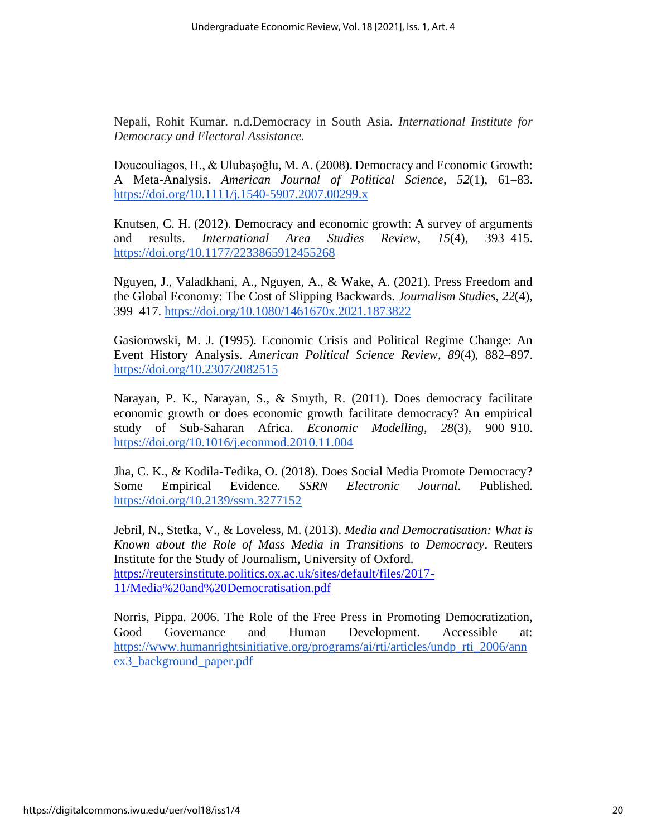Nepali, Rohit Kumar. n.d.Democracy in South Asia. *International Institute for Democracy and Electoral Assistance.* 

Doucouliagos, H., & Ulubaşoğlu, M. A. (2008). Democracy and Economic Growth: A Meta-Analysis. *American Journal of Political Science*, *52*(1), 61–83. <https://doi.org/10.1111/j.1540-5907.2007.00299.x>

Knutsen, C. H. (2012). Democracy and economic growth: A survey of arguments and results. *International Area Studies Review*, *15*(4), 393–415. <https://doi.org/10.1177/2233865912455268>

Nguyen, J., Valadkhani, A., Nguyen, A., & Wake, A. (2021). Press Freedom and the Global Economy: The Cost of Slipping Backwards. *Journalism Studies*, *22*(4), 399–417.<https://doi.org/10.1080/1461670x.2021.1873822>

Gasiorowski, M. J. (1995). Economic Crisis and Political Regime Change: An Event History Analysis. *American Political Science Review*, *89*(4), 882–897. <https://doi.org/10.2307/2082515>

Narayan, P. K., Narayan, S., & Smyth, R. (2011). Does democracy facilitate economic growth or does economic growth facilitate democracy? An empirical study of Sub-Saharan Africa. *Economic Modelling*, *28*(3), 900–910. <https://doi.org/10.1016/j.econmod.2010.11.004>

Jha, C. K., & Kodila-Tedika, O. (2018). Does Social Media Promote Democracy? Some Empirical Evidence. *SSRN Electronic Journal*. Published. <https://doi.org/10.2139/ssrn.3277152>

Jebril, N., Stetka, V., & Loveless, M. (2013). *Media and Democratisation: What is Known about the Role of Mass Media in Transitions to Democracy*. Reuters Institute for the Study of Journalism, University of Oxford. [https://reutersinstitute.politics.ox.ac.uk/sites/default/files/2017-](https://reutersinstitute.politics.ox.ac.uk/sites/default/files/2017-11/Media%20and%20Democratisation.pdf) [11/Media%20and%20Democratisation.pdf](https://reutersinstitute.politics.ox.ac.uk/sites/default/files/2017-11/Media%20and%20Democratisation.pdf)

Norris, Pippa. 2006. The Role of the Free Press in Promoting Democratization, Good Governance and Human Development. Accessible at: [https://www.humanrightsinitiative.org/programs/ai/rti/articles/undp\\_rti\\_2006/ann](https://www.humanrightsinitiative.org/programs/ai/rti/articles/undp_rti_2006/annex3_background_paper.pdf) [ex3\\_background\\_paper.pdf](https://www.humanrightsinitiative.org/programs/ai/rti/articles/undp_rti_2006/annex3_background_paper.pdf)